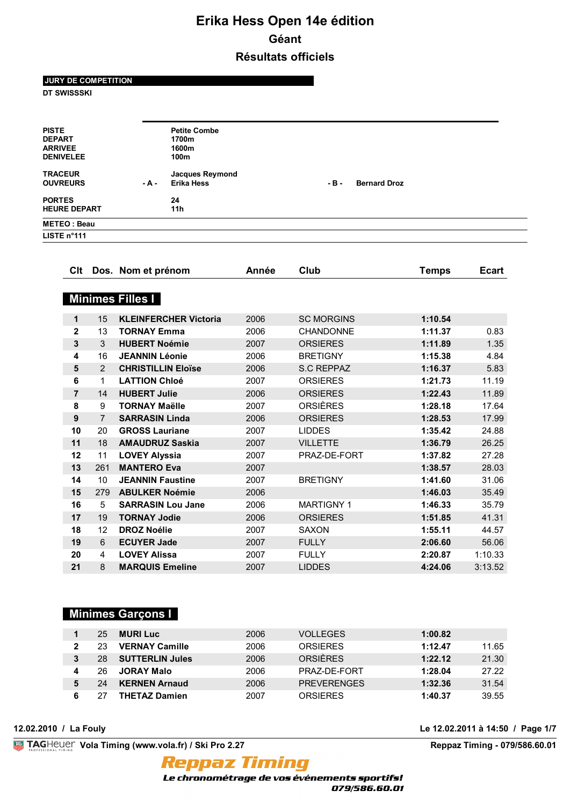**JURY DE COMPETITION**

**DT SWISSSKI**

| <b>PISTE</b><br><b>DEPART</b><br><b>ARRIVEE</b><br><b>DENIVELEE</b> |           | <b>Petite Combe</b><br>1700m<br>1600m<br>100m |        |                     |  |
|---------------------------------------------------------------------|-----------|-----------------------------------------------|--------|---------------------|--|
| <b>TRACEUR</b><br><b>OUVREURS</b>                                   | $-$ A $-$ | <b>Jacques Reymond</b><br><b>Erika Hess</b>   | $-B -$ | <b>Bernard Droz</b> |  |
| <b>PORTES</b><br><b>HEURE DEPART</b>                                |           | 24<br>11h                                     |        |                     |  |
| <b>METEO: Beau</b>                                                  |           |                                               |        |                     |  |
| LISTE $n^{\circ}$ 111                                               |           |                                               |        |                     |  |
|                                                                     |           |                                               |        |                     |  |

| Clt            |                | Dos. Nom et prénom           | Année | Club              | <b>Temps</b> | <b>Ecart</b> |
|----------------|----------------|------------------------------|-------|-------------------|--------------|--------------|
|                |                |                              |       |                   |              |              |
|                |                | <b>Minimes Filles I</b>      |       |                   |              |              |
| 1              | 15             | <b>KLEINFERCHER Victoria</b> | 2006  | <b>SC MORGINS</b> | 1:10.54      |              |
| $\mathbf 2$    | 13             | <b>TORNAY Emma</b>           | 2006  | <b>CHANDONNE</b>  | 1:11.37      | 0.83         |
| 3              | 3              | <b>HUBERT Noémie</b>         | 2007  | <b>ORSIERES</b>   | 1:11.89      | 1.35         |
| 4              | 16             | <b>JEANNIN Léonie</b>        | 2006  | <b>BRETIGNY</b>   | 1:15.38      | 4.84         |
| 5              | 2              | <b>CHRISTILLIN Eloïse</b>    | 2006  | <b>S.C REPPAZ</b> | 1:16.37      | 5.83         |
| 6              | 1              | <b>LATTION Chloé</b>         | 2007  | <b>ORSIERES</b>   | 1:21.73      | 11.19        |
| $\overline{7}$ | 14             | <b>HUBERT Julie</b>          | 2006  | <b>ORSIERES</b>   | 1:22.43      | 11.89        |
| 8              | 9              | <b>TORNAY Maëlle</b>         | 2007  | <b>ORSIÈRES</b>   | 1:28.18      | 17.64        |
| 9              | $\overline{7}$ | <b>SARRASIN Linda</b>        | 2006  | <b>ORSIERES</b>   | 1:28.53      | 17.99        |
| 10             | 20             | <b>GROSS Lauriane</b>        | 2007  | <b>LIDDES</b>     | 1:35.42      | 24.88        |
| 11             | 18             | <b>AMAUDRUZ Saskia</b>       | 2007  | <b>VILLETTE</b>   | 1:36.79      | 26.25        |
| 12             | 11             | <b>LOVEY Alyssia</b>         | 2007  | PRAZ-DE-FORT      | 1:37.82      | 27.28        |
| 13             | 261            | <b>MANTERO Eva</b>           | 2007  |                   | 1:38.57      | 28.03        |
| 14             | 10             | <b>JEANNIN Faustine</b>      | 2007  | <b>BRETIGNY</b>   | 1:41.60      | 31.06        |
| 15             | 279            | <b>ABULKER Noémie</b>        | 2006  |                   | 1:46.03      | 35.49        |
| 16             | 5              | <b>SARRASIN Lou Jane</b>     | 2006  | <b>MARTIGNY 1</b> | 1:46.33      | 35.79        |
| 17             | 19             | <b>TORNAY Jodie</b>          | 2006  | <b>ORSIERES</b>   | 1:51.85      | 41.31        |
| 18             | 12             | <b>DROZ Noélie</b>           | 2007  | <b>SAXON</b>      | 1:55.11      | 44.57        |
| 19             | 6              | <b>ECUYER Jade</b>           | 2007  | <b>FULLY</b>      | 2:06.60      | 56.06        |
| 20             | 4              | <b>LOVEY Alissa</b>          | 2007  | <b>FULLY</b>      | 2:20.87      | 1:10.33      |
| 21             | 8              | <b>MARQUIS Emeline</b>       | 2007  | <b>LIDDES</b>     | 4:24.06      | 3:13.52      |

# **Minimes Garçons I**

| 25  | <b>MURI Luc</b>        | 2006 | VOLLEGES           | 1:00.82 |       |
|-----|------------------------|------|--------------------|---------|-------|
| 23  | <b>VERNAY Camille</b>  | 2006 | <b>ORSIERES</b>    | 1:12.47 | 11.65 |
| 28. | <b>SUTTERLIN Jules</b> | 2006 | <b>ORSIÈRES</b>    | 1:22.12 | 21.30 |
| 26  | <b>JORAY Malo</b>      | 2006 | PRAZ-DE-FORT       | 1:28.04 | 27.22 |
| 24  | <b>KERNEN Arnaud</b>   | 2006 | <b>PREVERENGES</b> | 1:32.36 | 31.54 |
|     | <b>THETAZ Damien</b>   | 2007 | ORSIFRES           | 1:40.37 | 39.55 |

**Example 19 TAGHeuer Vola Timing (www.vola.fr) / Ski Pro 2.27 Reppaz Timing - 079/586.60.01** 

**Reppaz Timing** 

**12.02.2010 / La Fouly Le 12.02.2011 à 14:50 / Page 1/7**

Le chronométrage de vos événements sportifs! 079/586.60.01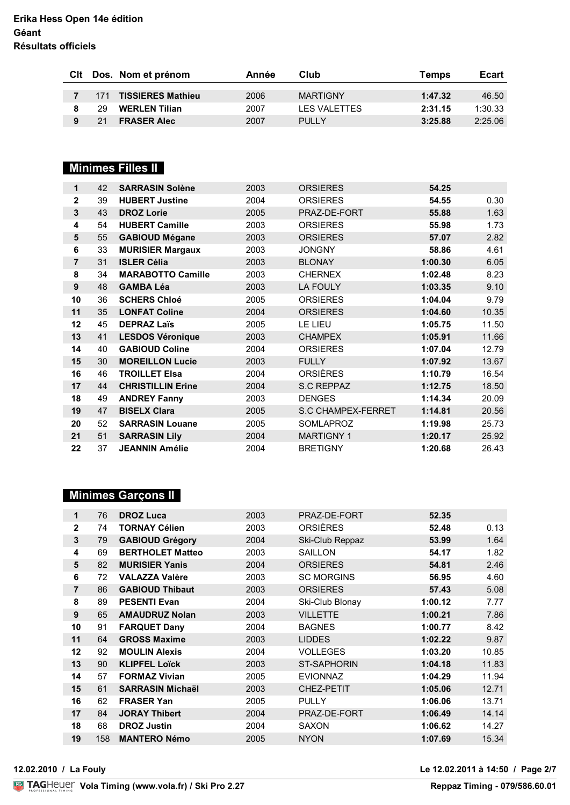|     | CIt Dos. Nom et prénom | Année | Club                | Temps   | Ecart   |
|-----|------------------------|-------|---------------------|---------|---------|
|     | 171 TISSIERES Mathieu  | 2006  | <b>MARTIGNY</b>     | 1:47.32 | 46.50   |
| 29. | <b>WERLEN Tilian</b>   | 2007  | <b>LES VALETTES</b> | 2:31.15 | 1:30.33 |
| 21  | <b>FRASER Alec</b>     | 2007  | <b>PULLY</b>        | 3:25.88 | 2:25.06 |

# **Minimes Filles II**

| 1              | 42 | <b>SARRASIN Solène</b>   | 2003 | <b>ORSIERES</b>    | 54.25   |       |
|----------------|----|--------------------------|------|--------------------|---------|-------|
| $\overline{2}$ | 39 | <b>HUBERT Justine</b>    | 2004 | <b>ORSIERES</b>    | 54.55   | 0.30  |
| 3              | 43 | <b>DROZ Lorie</b>        | 2005 | PRAZ-DE-FORT       | 55.88   | 1.63  |
| 4              | 54 | <b>HUBERT Camille</b>    | 2003 | <b>ORSIERES</b>    | 55.98   | 1.73  |
| 5              | 55 | <b>GABIOUD Mégane</b>    | 2003 | <b>ORSIERES</b>    | 57.07   | 2.82  |
| 6              | 33 | <b>MURISIER Margaux</b>  | 2003 | <b>JONGNY</b>      | 58.86   | 4.61  |
| 7              | 31 | <b>ISLER Célia</b>       | 2003 | <b>BLONAY</b>      | 1:00.30 | 6.05  |
| 8              | 34 | <b>MARABOTTO Camille</b> | 2003 | <b>CHERNEX</b>     | 1:02.48 | 8.23  |
| 9              | 48 | <b>GAMBA Léa</b>         | 2003 | LA FOULY           | 1:03.35 | 9.10  |
| 10             | 36 | <b>SCHERS Chloé</b>      | 2005 | <b>ORSIERES</b>    | 1:04.04 | 9.79  |
| 11             | 35 | <b>LONFAT Coline</b>     | 2004 | <b>ORSIERES</b>    | 1:04.60 | 10.35 |
| 12             | 45 | <b>DEPRAZ Laïs</b>       | 2005 | LE LIEU            | 1:05.75 | 11.50 |
| 13             | 41 | <b>LESDOS Véronique</b>  | 2003 | <b>CHAMPEX</b>     | 1:05.91 | 11.66 |
| 14             | 40 | <b>GABIOUD Coline</b>    | 2004 | <b>ORSIERES</b>    | 1:07.04 | 12.79 |
| 15             | 30 | <b>MOREILLON Lucie</b>   | 2003 | <b>FULLY</b>       | 1:07.92 | 13.67 |
| 16             | 46 | <b>TROILLET Elsa</b>     | 2004 | <b>ORSIÈRES</b>    | 1:10.79 | 16.54 |
| 17             | 44 | <b>CHRISTILLIN Erine</b> | 2004 | S.C REPPAZ         | 1:12.75 | 18.50 |
| 18             | 49 | <b>ANDREY Fanny</b>      | 2003 | <b>DENGES</b>      | 1:14.34 | 20.09 |
| 19             | 47 | <b>BISELX Clara</b>      | 2005 | S.C CHAMPEX-FERRET | 1:14.81 | 20.56 |
| 20             | 52 | <b>SARRASIN Louane</b>   | 2005 | <b>SOMLAPROZ</b>   | 1:19.98 | 25.73 |
| 21             | 51 | <b>SARRASIN Lily</b>     | 2004 | <b>MARTIGNY 1</b>  | 1:20.17 | 25.92 |
| 22             | 37 | <b>JEANNIN Amélie</b>    | 2004 | <b>BRETIGNY</b>    | 1:20.68 | 26.43 |

# **Minimes Garçons II**

| 1            | 76  | <b>DROZ Luca</b>        | 2003 | PRAZ-DE-FORT       | 52.35   |       |
|--------------|-----|-------------------------|------|--------------------|---------|-------|
| $\mathbf{2}$ | 74  | <b>TORNAY Célien</b>    | 2003 | <b>ORSIÈRES</b>    | 52.48   | 0.13  |
| 3            | 79  | <b>GABIOUD Grégory</b>  | 2004 | Ski-Club Reppaz    | 53.99   | 1.64  |
| 4            | 69  | <b>BERTHOLET Matteo</b> | 2003 | <b>SAILLON</b>     | 54.17   | 1.82  |
| 5            | 82  | <b>MURISIER Yanis</b>   | 2004 | <b>ORSIERES</b>    | 54.81   | 2.46  |
| 6            | 72  | <b>VALAZZA Valère</b>   | 2003 | <b>SC MORGINS</b>  | 56.95   | 4.60  |
| 7            | 86  | <b>GABIOUD Thibaut</b>  | 2003 | <b>ORSIERES</b>    | 57.43   | 5.08  |
| 8            | 89  | <b>PESENTI Evan</b>     | 2004 | Ski-Club Blonay    | 1:00.12 | 7.77  |
| 9            | 65  | <b>AMAUDRUZ Nolan</b>   | 2003 | <b>VILLETTE</b>    | 1:00.21 | 7.86  |
| 10           | 91  | <b>FARQUET Dany</b>     | 2004 | <b>BAGNES</b>      | 1:00.77 | 8.42  |
| 11           | 64  | <b>GROSS Maxime</b>     | 2003 | <b>LIDDES</b>      | 1:02.22 | 9.87  |
| 12           | 92  | <b>MOULIN Alexis</b>    | 2004 | <b>VOLLEGES</b>    | 1:03.20 | 10.85 |
| 13           | 90  | <b>KLIPFEL Loïck</b>    | 2003 | <b>ST-SAPHORIN</b> | 1:04.18 | 11.83 |
| 14           | 57  | <b>FORMAZ Vivian</b>    | 2005 | <b>EVIONNAZ</b>    | 1:04.29 | 11.94 |
| 15           | 61  | <b>SARRASIN Michaël</b> | 2003 | <b>CHEZ-PETIT</b>  | 1:05.06 | 12.71 |
| 16           | 62  | <b>FRASER Yan</b>       | 2005 | <b>PULLY</b>       | 1:06.06 | 13.71 |
| 17           | 84  | <b>JORAY Thibert</b>    | 2004 | PRAZ-DE-FORT       | 1:06.49 | 14.14 |
| 18           | 68  | <b>DROZ Justin</b>      | 2004 | <b>SAXON</b>       | 1:06.62 | 14.27 |
| 19           | 158 | <b>MANTERO Némo</b>     | 2005 | <b>NYON</b>        | 1:07.69 | 15.34 |

**12.02.2010 / La Fouly Le 12.02.2011 à 14:50 / Page 2/7**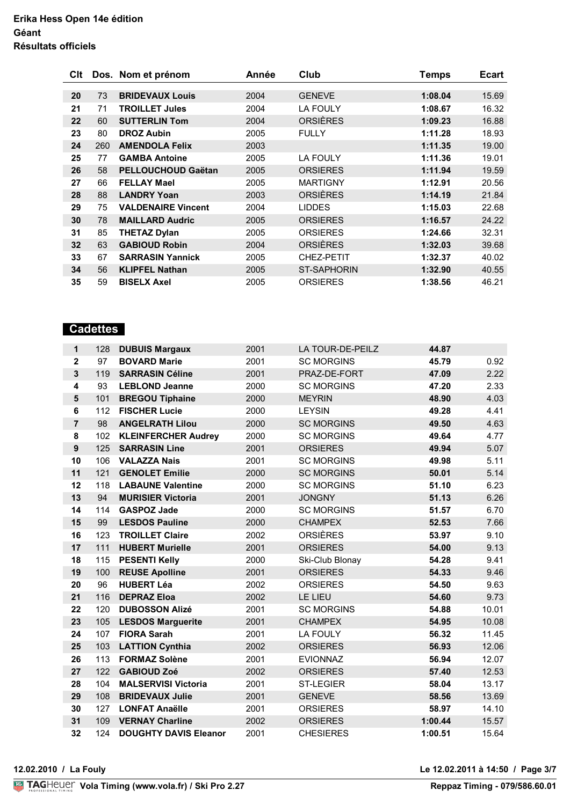| Clt |     | Dos. Nom et prénom        | Année | Club               | Temps   | <b>Ecart</b> |
|-----|-----|---------------------------|-------|--------------------|---------|--------------|
| 20  | 73  | <b>BRIDEVAUX Louis</b>    | 2004  | <b>GENEVE</b>      | 1:08.04 | 15.69        |
| 21  | 71  | <b>TROILLET Jules</b>     | 2004  | <b>LA FOULY</b>    | 1:08.67 | 16.32        |
| 22  | 60  | <b>SUTTERLIN Tom</b>      | 2004  | <b>ORSIÈRES</b>    | 1:09.23 | 16.88        |
| 23  | 80  | <b>DROZ Aubin</b>         | 2005  | <b>FULLY</b>       | 1:11.28 | 18.93        |
| 24  | 260 | <b>AMENDOLA Felix</b>     | 2003  |                    | 1:11.35 | 19.00        |
| 25  | 77  | <b>GAMBA Antoine</b>      | 2005  | <b>LA FOULY</b>    | 1:11.36 | 19.01        |
| 26  | 58  | <b>PELLOUCHOUD Gaëtan</b> | 2005  | <b>ORSIERES</b>    | 1:11.94 | 19.59        |
| 27  | 66  | <b>FELLAY Mael</b>        | 2005  | <b>MARTIGNY</b>    | 1:12.91 | 20.56        |
| 28  | 88  | <b>LANDRY Yoan</b>        | 2003  | <b>ORSIÈRES</b>    | 1:14.19 | 21.84        |
| 29  | 75  | <b>VALDENAIRE Vincent</b> | 2004  | <b>LIDDES</b>      | 1:15.03 | 22.68        |
| 30  | 78  | <b>MAILLARD Audric</b>    | 2005  | <b>ORSIERES</b>    | 1:16.57 | 24.22        |
| 31  | 85  | <b>THETAZ Dylan</b>       | 2005  | <b>ORSIERES</b>    | 1:24.66 | 32.31        |
| 32  | 63  | <b>GABIOUD Robin</b>      | 2004  | ORSIÈRES           | 1:32.03 | 39.68        |
| 33  | 67  | <b>SARRASIN Yannick</b>   | 2005  | CHEZ-PETIT         | 1:32.37 | 40.02        |
| 34  | 56  | <b>KLIPFEL Nathan</b>     | 2005  | <b>ST-SAPHORIN</b> | 1:32.90 | 40.55        |
| 35  | 59  | <b>BISELX Axel</b>        | 2005  | <b>ORSIERES</b>    | 1:38.56 | 46.21        |

# **Cadettes**

| 1                       | 128 | <b>DUBUIS Margaux</b>        | 2001 | <b>LA TOUR-DE-PEILZ</b> | 44.87   |       |
|-------------------------|-----|------------------------------|------|-------------------------|---------|-------|
| $\mathbf 2$             | 97  | <b>BOVARD Marie</b>          | 2001 | <b>SC MORGINS</b>       | 45.79   | 0.92  |
| 3                       | 119 | <b>SARRASIN Céline</b>       | 2001 | PRAZ-DE-FORT            | 47.09   | 2.22  |
| 4                       | 93  | <b>LEBLOND Jeanne</b>        | 2000 | <b>SC MORGINS</b>       | 47.20   | 2.33  |
| $\overline{\mathbf{5}}$ | 101 | <b>BREGOU Tiphaine</b>       | 2000 | <b>MEYRIN</b>           | 48.90   | 4.03  |
| $6\phantom{1}$          | 112 | <b>FISCHER Lucie</b>         | 2000 | <b>LEYSIN</b>           | 49.28   | 4.41  |
| $\overline{7}$          | 98  | <b>ANGELRATH Lilou</b>       | 2000 | <b>SC MORGINS</b>       | 49.50   | 4.63  |
| 8                       | 102 | <b>KLEINFERCHER Audrey</b>   | 2000 | <b>SC MORGINS</b>       | 49.64   | 4.77  |
| $\boldsymbol{9}$        | 125 | <b>SARRASIN Line</b>         | 2001 | <b>ORSIERES</b>         | 49.94   | 5.07  |
| 10                      | 106 | <b>VALAZZA Nais</b>          | 2001 | <b>SC MORGINS</b>       | 49.98   | 5.11  |
| 11                      | 121 | <b>GENOLET Emilie</b>        | 2000 | <b>SC MORGINS</b>       | 50.01   | 5.14  |
| 12                      | 118 | <b>LABAUNE Valentine</b>     | 2000 | <b>SC MORGINS</b>       | 51.10   | 6.23  |
| 13                      | 94  | <b>MURISIER Victoria</b>     | 2001 | <b>JONGNY</b>           | 51.13   | 6.26  |
| 14                      | 114 | <b>GASPOZ Jade</b>           | 2000 | <b>SC MORGINS</b>       | 51.57   | 6.70  |
| 15                      | 99  | <b>LESDOS Pauline</b>        | 2000 | <b>CHAMPEX</b>          | 52.53   | 7.66  |
| 16                      | 123 | <b>TROILLET Claire</b>       | 2002 | <b>ORSIÈRES</b>         | 53.97   | 9.10  |
| 17                      | 111 | <b>HUBERT Murielle</b>       | 2001 | <b>ORSIERES</b>         | 54.00   | 9.13  |
| 18                      | 115 | <b>PESENTI Kelly</b>         | 2000 | Ski-Club Blonay         | 54.28   | 9.41  |
| 19                      | 100 | <b>REUSE Apolline</b>        | 2001 | <b>ORSIERES</b>         | 54.33   | 9.46  |
| 20                      | 96  | <b>HUBERT Léa</b>            | 2002 | <b>ORSIERES</b>         | 54.50   | 9.63  |
| 21                      | 116 | <b>DEPRAZ Eloa</b>           | 2002 | LE LIEU                 | 54.60   | 9.73  |
| 22                      | 120 | <b>DUBOSSON Alizé</b>        | 2001 | <b>SC MORGINS</b>       | 54.88   | 10.01 |
| 23                      | 105 | <b>LESDOS Marguerite</b>     | 2001 | <b>CHAMPEX</b>          | 54.95   | 10.08 |
| 24                      | 107 | <b>FIORA Sarah</b>           | 2001 | LA FOULY                | 56.32   | 11.45 |
| 25                      | 103 | <b>LATTION Cynthia</b>       | 2002 | <b>ORSIERES</b>         | 56.93   | 12.06 |
| 26                      | 113 | <b>FORMAZ Solène</b>         | 2001 | <b>EVIONNAZ</b>         | 56.94   | 12.07 |
| 27                      | 122 | <b>GABIOUD Zoé</b>           | 2002 | <b>ORSIERES</b>         | 57.40   | 12.53 |
| 28                      | 104 | <b>MALSERVISI Victoria</b>   | 2001 | <b>ST-LEGIER</b>        | 58.04   | 13.17 |
| 29                      | 108 | <b>BRIDEVAUX Julie</b>       | 2001 | <b>GENEVE</b>           | 58.56   | 13.69 |
| 30                      | 127 | <b>LONFAT Anaëlle</b>        | 2001 | <b>ORSIERES</b>         | 58.97   | 14.10 |
| 31                      | 109 | <b>VERNAY Charline</b>       | 2002 | <b>ORSIERES</b>         | 1:00.44 | 15.57 |
| 32                      | 124 | <b>DOUGHTY DAVIS Eleanor</b> | 2001 | <b>CHESIERES</b>        | 1:00.51 | 15.64 |

**12.02.2010 / La Fouly Le 12.02.2011 à 14:50 / Page 3/7**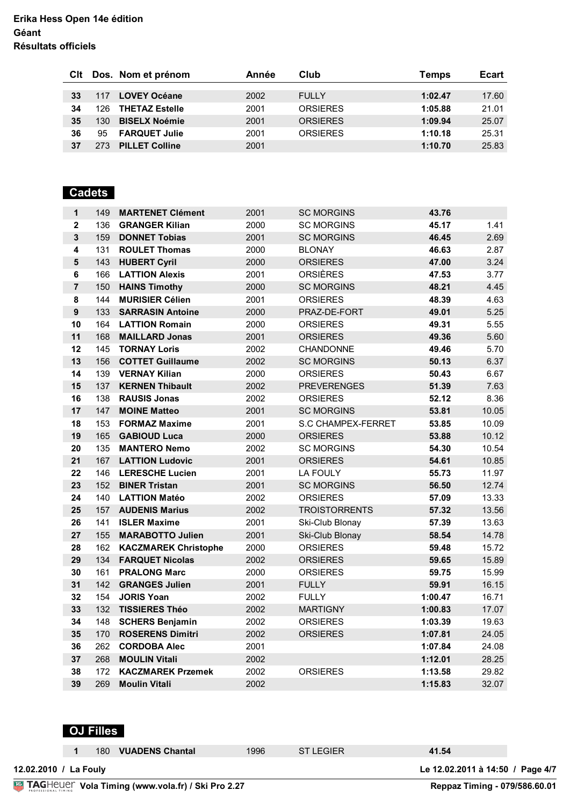|    |      | CIt Dos. Nom et prénom | Année | Club            | Temps   | Ecart |
|----|------|------------------------|-------|-----------------|---------|-------|
| 33 | 117  | <b>LOVEY Océane</b>    | 2002  | <b>FULLY</b>    | 1:02.47 | 17.60 |
| 34 | 126. | <b>THETAZ Estelle</b>  | 2001  | <b>ORSIERES</b> | 1:05.88 | 21.01 |
| 35 | 130. | <b>BISELX Noémie</b>   | 2001  | <b>ORSIFRES</b> | 1:09.94 | 25.07 |
| 36 | 95   | <b>FARQUET Julie</b>   | 2001  | <b>ORSIFRES</b> | 1:10.18 | 25.31 |
| 37 | 273  | <b>PILLET Colline</b>  | 2001  |                 | 1:10.70 | 25.83 |

#### **OUVREY AND SERVICE PORTES 24 Cadets**

| $\mathbf{1}$     | 149 | <b>MARTENET Clément</b>     | 2001 | <b>SC MORGINS</b>    | 43.76   |       |
|------------------|-----|-----------------------------|------|----------------------|---------|-------|
| $\mathbf{2}$     | 136 | <b>GRANGER Kilian</b>       | 2000 | <b>SC MORGINS</b>    | 45.17   | 1.41  |
| 3                | 159 | <b>DONNET Tobias</b>        | 2001 | <b>SC MORGINS</b>    | 46.45   | 2.69  |
| 4                | 131 | <b>ROULET Thomas</b>        | 2000 | <b>BLONAY</b>        | 46.63   | 2.87  |
| 5                | 143 | <b>HUBERT Cyril</b>         | 2000 | <b>ORSIERES</b>      | 47.00   | 3.24  |
| 6                | 166 | <b>LATTION Alexis</b>       | 2001 | <b>ORSIÈRES</b>      | 47.53   | 3.77  |
| $\overline{7}$   | 150 | <b>HAINS Timothy</b>        | 2000 | <b>SC MORGINS</b>    | 48.21   | 4.45  |
| 8                | 144 | <b>MURISIER Célien</b>      | 2001 | <b>ORSIERES</b>      | 48.39   | 4.63  |
| $\boldsymbol{9}$ | 133 | <b>SARRASIN Antoine</b>     | 2000 | PRAZ-DE-FORT         | 49.01   | 5.25  |
| 10               | 164 | <b>LATTION Romain</b>       | 2000 | <b>ORSIERES</b>      | 49.31   | 5.55  |
| 11               | 168 | <b>MAILLARD Jonas</b>       | 2001 | <b>ORSIERES</b>      | 49.36   | 5.60  |
| 12               | 145 | <b>TORNAY Loris</b>         | 2002 | <b>CHANDONNE</b>     | 49.46   | 5.70  |
| 13               | 156 | <b>COTTET Guillaume</b>     | 2002 | <b>SC MORGINS</b>    | 50.13   | 6.37  |
| 14               | 139 | <b>VERNAY Kilian</b>        | 2000 | <b>ORSIERES</b>      | 50.43   | 6.67  |
| 15               | 137 | <b>KERNEN Thibault</b>      | 2002 | <b>PREVERENGES</b>   | 51.39   | 7.63  |
| 16               | 138 | <b>RAUSIS Jonas</b>         | 2002 | <b>ORSIERES</b>      | 52.12   | 8.36  |
| 17               | 147 | <b>MOINE Matteo</b>         | 2001 | <b>SC MORGINS</b>    | 53.81   | 10.05 |
| 18               | 153 | <b>FORMAZ Maxime</b>        | 2001 | S.C CHAMPEX-FERRET   | 53.85   | 10.09 |
| 19               | 165 | <b>GABIOUD Luca</b>         | 2000 | <b>ORSIERES</b>      | 53.88   | 10.12 |
| 20               | 135 | <b>MANTERO Nemo</b>         | 2002 | <b>SC MORGINS</b>    | 54.30   | 10.54 |
| 21               | 167 | <b>LATTION Ludovic</b>      | 2001 | <b>ORSIERES</b>      | 54.61   | 10.85 |
| 22               | 146 | <b>LERESCHE Lucien</b>      | 2001 | LA FOULY             | 55.73   | 11.97 |
| 23               |     | 152 BINER Tristan           | 2001 | <b>SC MORGINS</b>    | 56.50   | 12.74 |
| 24               |     | 140 LATTION Matéo           | 2002 | <b>ORSIERES</b>      | 57.09   | 13.33 |
| 25               |     | 157 AUDENIS Marius          | 2002 | <b>TROISTORRENTS</b> | 57.32   | 13.56 |
| 26               | 141 | <b>ISLER Maxime</b>         | 2001 | Ski-Club Blonay      | 57.39   | 13.63 |
| 27               | 155 | <b>MARABOTTO Julien</b>     | 2001 | Ski-Club Blonay      | 58.54   | 14.78 |
| 28               | 162 | <b>KACZMAREK Christophe</b> | 2000 | <b>ORSIERES</b>      | 59.48   | 15.72 |
| 29               | 134 | <b>FARQUET Nicolas</b>      | 2002 | <b>ORSIERES</b>      | 59.65   | 15.89 |
| 30               | 161 | <b>PRALONG Marc</b>         | 2000 | <b>ORSIERES</b>      | 59.75   | 15.99 |
| 31               | 142 | <b>GRANGES Julien</b>       | 2001 | <b>FULLY</b>         | 59.91   | 16.15 |
| 32               | 154 | <b>JORIS Yoan</b>           | 2002 | <b>FULLY</b>         | 1:00.47 | 16.71 |
| 33               | 132 | <b>TISSIERES Théo</b>       | 2002 | <b>MARTIGNY</b>      | 1:00.83 | 17.07 |
| 34               | 148 | <b>SCHERS Benjamin</b>      | 2002 | <b>ORSIERES</b>      | 1:03.39 | 19.63 |
| 35               | 170 | <b>ROSERENS Dimitri</b>     | 2002 | <b>ORSIERES</b>      | 1:07.81 | 24.05 |
| 36               | 262 | <b>CORDOBA Alec</b>         | 2001 |                      | 1:07.84 | 24.08 |
| 37               | 268 | <b>MOULIN Vitali</b>        | 2002 |                      | 1:12.01 | 28.25 |
| 38               | 172 | <b>KACZMAREK Przemek</b>    | 2002 | <b>ORSIERES</b>      | 1:13.58 | 29.82 |
| 39               | 269 | <b>Moulin Vitali</b>        | 2002 |                      | 1:15.83 | 32.07 |
|                  |     |                             |      |                      |         |       |

# **OJ Filles**

|                                                                                                                                                                                                      | 180. | 1996 | <b>ST LEGIER</b> | 41.54 |  |
|------------------------------------------------------------------------------------------------------------------------------------------------------------------------------------------------------|------|------|------------------|-------|--|
| <b>OJ FIIIES</b><br><b>VUADENS Chantal</b><br>Le 12.02.2011 à 14:50 / Page 4/7<br>12.02.2010 / La Fouly<br><b>TAGHeuer Vola Timing (www.vola.fr) / Ski Pro 2.27</b><br>Reppaz Timing - 079/586.60.01 |      |      |                  |       |  |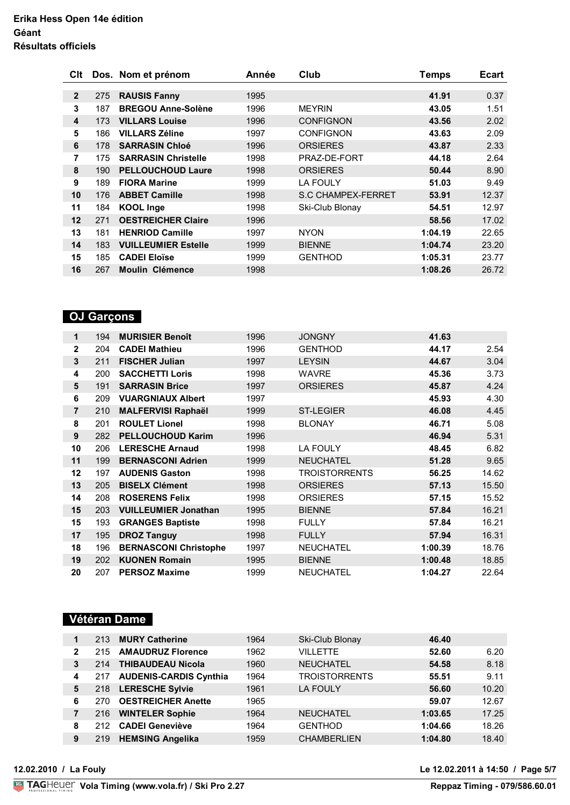| Clt          |     | Dos. Nom et prénom         | Année | Club                      | Temps   | <b>Ecart</b> |
|--------------|-----|----------------------------|-------|---------------------------|---------|--------------|
| $\mathbf{2}$ | 275 | <b>RAUSIS Fanny</b>        | 1995  |                           | 41.91   | 0.37         |
| 3            | 187 | <b>BREGOU Anne-Solène</b>  | 1996  | <b>MEYRIN</b>             | 43.05   | 1.51         |
| 4            | 173 | <b>VILLARS Louise</b>      | 1996  | <b>CONFIGNON</b>          | 43.56   | 2.02         |
| 5            | 186 | <b>VILLARS Zéline</b>      | 1997  | <b>CONFIGNON</b>          | 43.63   | 2.09         |
| 6            | 178 | <b>SARRASIN Chloé</b>      | 1996  | <b>ORSIERES</b>           | 43.87   | 2.33         |
| 7            | 175 | <b>SARRASIN Christelle</b> | 1998  | PRAZ-DE-FORT              | 44.18   | 2.64         |
| 8            | 190 | <b>PELLOUCHOUD Laure</b>   | 1998  | <b>ORSIERES</b>           | 50.44   | 8.90         |
| 9            | 189 | <b>FIORA Marine</b>        | 1999  | <b>LA FOULY</b>           | 51.03   | 9.49         |
| 10           | 176 | <b>ABBET Camille</b>       | 1998  | <b>S.C CHAMPEX-FERRET</b> | 53.91   | 12.37        |
| 11           | 184 | <b>KOOL Inge</b>           | 1998  | Ski-Club Blonay           | 54.51   | 12.97        |
| 12           | 271 | <b>OESTREICHER Claire</b>  | 1996  |                           | 58.56   | 17.02        |
| 13           | 181 | <b>HENRIOD Camille</b>     | 1997  | <b>NYON</b>               | 1:04.19 | 22.65        |
| 14           | 183 | <b>VUILLEUMIER Estelle</b> | 1999  | <b>BIENNE</b>             | 1:04.74 | 23.20        |
| 15           | 185 | <b>CADEI Eloïse</b>        | 1999  | <b>GENTHOD</b>            | 1:05.31 | 23.77        |
| 16           | 267 | <b>Moulin Clémence</b>     | 1998  |                           | 1:08.26 | 26.72        |

# **OJ Garçons**

| 1              | 194 | <b>MURISIER Benoît</b>       | 1996 | <b>JONGNY</b>        | 41.63   |       |
|----------------|-----|------------------------------|------|----------------------|---------|-------|
| $\mathbf{2}$   | 204 | <b>CADEI Mathieu</b>         | 1996 | <b>GENTHOD</b>       | 44.17   | 2.54  |
| 3              | 211 | <b>FISCHER Julian</b>        | 1997 | <b>LEYSIN</b>        | 44.67   | 3.04  |
| 4              | 200 | <b>SACCHETTI Loris</b>       | 1998 | <b>WAVRE</b>         | 45.36   | 3.73  |
| 5              | 191 | <b>SARRASIN Brice</b>        | 1997 | <b>ORSIERES</b>      | 45.87   | 4.24  |
| 6              | 209 | <b>VUARGNIAUX Albert</b>     | 1997 |                      | 45.93   | 4.30  |
| $\overline{7}$ | 210 | <b>MALFERVISI Raphaël</b>    | 1999 | <b>ST-LEGIER</b>     | 46.08   | 4.45  |
| 8              | 201 | <b>ROULET Lionel</b>         | 1998 | <b>BLONAY</b>        | 46.71   | 5.08  |
| 9              | 282 | <b>PELLOUCHOUD Karim</b>     | 1996 |                      | 46.94   | 5.31  |
| 10             | 206 | <b>LERESCHE Arnaud</b>       | 1998 | <b>LA FOULY</b>      | 48.45   | 6.82  |
| 11             | 199 | <b>BERNASCONI Adrien</b>     | 1999 | <b>NEUCHATEL</b>     | 51.28   | 9.65  |
| 12             | 197 | <b>AUDENIS Gaston</b>        | 1998 | <b>TROISTORRENTS</b> | 56.25   | 14.62 |
| 13             | 205 | <b>BISELX Clément</b>        | 1998 | <b>ORSIERES</b>      | 57.13   | 15.50 |
| 14             | 208 | <b>ROSERENS Felix</b>        | 1998 | <b>ORSIERES</b>      | 57.15   | 15.52 |
| 15             | 203 | <b>VUILLEUMIER Jonathan</b>  | 1995 | <b>BIENNE</b>        | 57.84   | 16.21 |
| 15             | 193 | <b>GRANGES Baptiste</b>      | 1998 | <b>FULLY</b>         | 57.84   | 16.21 |
| 17             | 195 | <b>DROZ Tanguy</b>           | 1998 | <b>FULLY</b>         | 57.94   | 16.31 |
| 18             | 196 | <b>BERNASCONI Christophe</b> | 1997 | <b>NEUCHATEL</b>     | 1:00.39 | 18.76 |
| 19             | 202 | <b>KUONEN Romain</b>         | 1995 | <b>BIENNE</b>        | 1:00.48 | 18.85 |
| 20             | 207 | <b>PERSOZ Maxime</b>         | 1999 | <b>NEUCHATEL</b>     | 1:04.27 | 22.64 |

# **Vétéran Dame**

| 213 | <b>MURY Catherine</b>         | 1964                | Ski-Club Blonay      | 46.40   |       |
|-----|-------------------------------|---------------------|----------------------|---------|-------|
| 215 | <b>AMAUDRUZ Florence</b>      | 1962                | VILLETTE             | 52.60   | 6.20  |
| 214 | <b>THIBAUDEAU Nicola</b>      | 1960                | <b>NEUCHATEL</b>     | 54.58   | 8.18  |
| 217 | <b>AUDENIS-CARDIS Cynthia</b> | 1964                | <b>TROISTORRENTS</b> | 55.51   | 9.11  |
|     |                               | 1961                | <b>LA FOULY</b>      | 56.60   | 10.20 |
| 270 | <b>OESTREICHER Anette</b>     | 1965                |                      | 59.07   | 12.67 |
| 216 | <b>WINTELER Sophie</b>        | 1964                | <b>NEUCHATEL</b>     | 1:03.65 | 17.25 |
| 212 | <b>CADEI Geneviève</b>        | 1964                | <b>GENTHOD</b>       | 1:04.66 | 18.26 |
| 219 | <b>HEMSING Angelika</b>       | 1959                | <b>CHAMBERLIEN</b>   | 1:04.80 | 18.40 |
|     |                               | 218 LERESCHE Sylvie |                      |         |       |

**12.02.2010 / La Fouly Le 12.02.2011 à 14:50 / Page 5/7**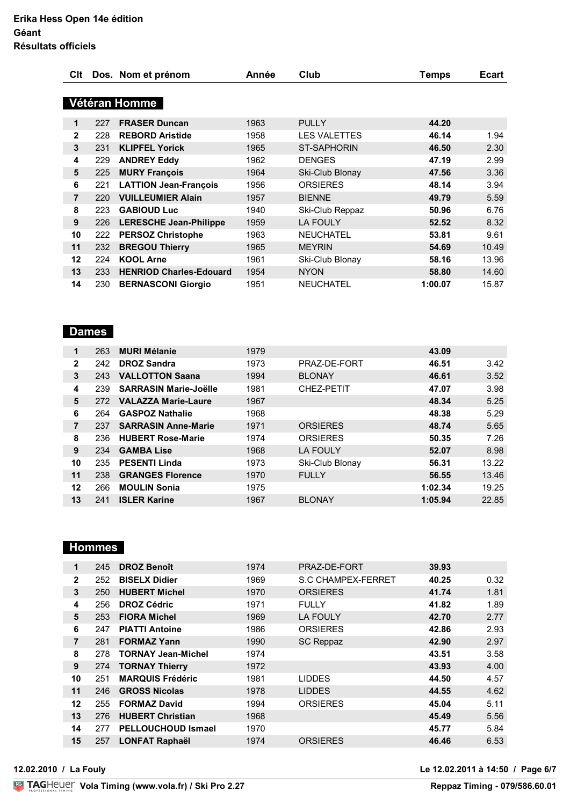| Clt         |     | Dos. Nom et prénom             | Année | Club                | Temps   | <b>Ecart</b> |
|-------------|-----|--------------------------------|-------|---------------------|---------|--------------|
|             |     | Vétéran Homme                  |       |                     |         |              |
| $\mathbf 1$ | 227 | <b>FRASER Duncan</b>           | 1963  | <b>PULLY</b>        | 44.20   |              |
| 2           | 228 | <b>REBORD Aristide</b>         | 1958  | <b>LES VALETTES</b> | 46.14   | 1.94         |
| 3           | 231 | <b>KLIPFEL Yorick</b>          | 1965  | <b>ST-SAPHORIN</b>  | 46.50   | 2.30         |
| 4           | 229 | <b>ANDREY Eddy</b>             | 1962  | <b>DENGES</b>       | 47.19   | 2.99         |
| 5           | 225 | <b>MURY François</b>           | 1964  | Ski-Club Blonay     | 47.56   | 3.36         |
| 6           | 221 | <b>LATTION Jean-François</b>   | 1956  | <b>ORSIERES</b>     | 48.14   | 3.94         |
| 7           | 220 | <b>VUILLEUMIER Alain</b>       | 1957  | <b>BIENNE</b>       | 49.79   | 5.59         |
| 8           | 223 | <b>GABIOUD Luc</b>             | 1940  | Ski-Club Reppaz     | 50.96   | 6.76         |
| 9           | 226 | <b>LERESCHE Jean-Philippe</b>  | 1959  | <b>LA FOULY</b>     | 52.52   | 8.32         |
| 10          | 222 | <b>PERSOZ Christophe</b>       | 1963  | <b>NEUCHATEL</b>    | 53.81   | 9.61         |
| 11          | 232 | <b>BREGOU Thierry</b>          | 1965  | <b>MEYRIN</b>       | 54.69   | 10.49        |
| $12 \,$     | 224 | <b>KOOL Arne</b>               | 1961  | Ski-Club Blonay     | 58.16   | 13.96        |
| 13          | 233 | <b>HENRIOD Charles-Edouard</b> | 1954  | <b>NYON</b>         | 58.80   | 14.60        |
| 14          | 230 | <b>BERNASCONI Giorgio</b>      | 1951  | <b>NEUCHATEL</b>    | 1:00.07 | 15.87        |

# **Dames**

| $\mathbf{1}$   | 263 | <b>MURI Mélanie</b>          | 1979 |                 | 43.09   |       |
|----------------|-----|------------------------------|------|-----------------|---------|-------|
| $\mathbf{2}$   | 242 | <b>DROZ Sandra</b>           | 1973 | PRAZ-DE-FORT    | 46.51   | 3.42  |
| 3              | 243 | <b>VALLOTTON Saana</b>       | 1994 | <b>BLONAY</b>   | 46.61   | 3.52  |
| 4              | 239 | <b>SARRASIN Marie-Joëlle</b> | 1981 | CHEZ-PETIT      | 47.07   | 3.98  |
| 5              | 272 | <b>VALAZZA Marie-Laure</b>   | 1967 |                 | 48.34   | 5.25  |
| 6              | 264 | <b>GASPOZ Nathalie</b>       | 1968 |                 | 48.38   | 5.29  |
| $\overline{7}$ | 237 | <b>SARRASIN Anne-Marie</b>   | 1971 | <b>ORSIERES</b> | 48.74   | 5.65  |
| 8              | 236 | <b>HUBERT Rose-Marie</b>     | 1974 | <b>ORSIERES</b> | 50.35   | 7.26  |
| 9              | 234 | <b>GAMBA Lise</b>            | 1968 | <b>LA FOULY</b> | 52.07   | 8.98  |
| 10             | 235 | <b>PESENTI Linda</b>         | 1973 | Ski-Club Blonay | 56.31   | 13.22 |
| 11             | 238 | <b>GRANGES Florence</b>      | 1970 | <b>FULLY</b>    | 56.55   | 13.46 |
| 12             | 266 | <b>MOULIN Sonia</b>          | 1975 |                 | 1:02.34 | 19.25 |
| 13             | 241 | <b>ISLER Karine</b>          | 1967 | <b>BLONAY</b>   | 1:05.94 | 22.85 |

# **Hommes**

| 1           | 245 | <b>DROZ Benoît</b>        | 1974 | PRAZ-DE-FORT              | 39.93 |      |
|-------------|-----|---------------------------|------|---------------------------|-------|------|
| $\mathbf 2$ | 252 | <b>BISELX Didier</b>      | 1969 | <b>S.C CHAMPEX-FERRET</b> | 40.25 | 0.32 |
| 3           | 250 | <b>HUBERT Michel</b>      | 1970 | <b>ORSIERES</b>           | 41.74 | 1.81 |
| 4           | 256 | <b>DROZ Cédric</b>        | 1971 | <b>FULLY</b>              | 41.82 | 1.89 |
| 5           | 253 | <b>FIORA Michel</b>       | 1969 | <b>LA FOULY</b>           | 42.70 | 2.77 |
| 6           | 247 | <b>PIATTI Antoine</b>     | 1986 | <b>ORSIERES</b>           | 42.86 | 2.93 |
| 7           | 281 | <b>FORMAZ Yann</b>        | 1990 | SC Reppaz                 | 42.90 | 2.97 |
| 8           | 278 | <b>TORNAY Jean-Michel</b> | 1974 |                           | 43.51 | 3.58 |
| 9           | 274 | <b>TORNAY Thierry</b>     | 1972 |                           | 43.93 | 4.00 |
| 10          | 251 | <b>MARQUIS Frédéric</b>   | 1981 | <b>LIDDES</b>             | 44.50 | 4.57 |
| 11          | 246 | <b>GROSS Nicolas</b>      | 1978 | <b>LIDDES</b>             | 44.55 | 4.62 |
| 12          | 255 | <b>FORMAZ David</b>       | 1994 | <b>ORSIERES</b>           | 45.04 | 5.11 |
| 13          | 276 | <b>HUBERT Christian</b>   | 1968 |                           | 45.49 | 5.56 |
| 14          | 277 | <b>PELLOUCHOUD Ismael</b> | 1970 |                           | 45.77 | 5.84 |
| 15          | 257 | <b>LONFAT Raphaël</b>     | 1974 | <b>ORSIERES</b>           | 46.46 | 6.53 |
|             |     |                           |      |                           |       |      |

**12.02.2010 / La Fouly Le 12.02.2011 à 14:50 / Page 6/7**